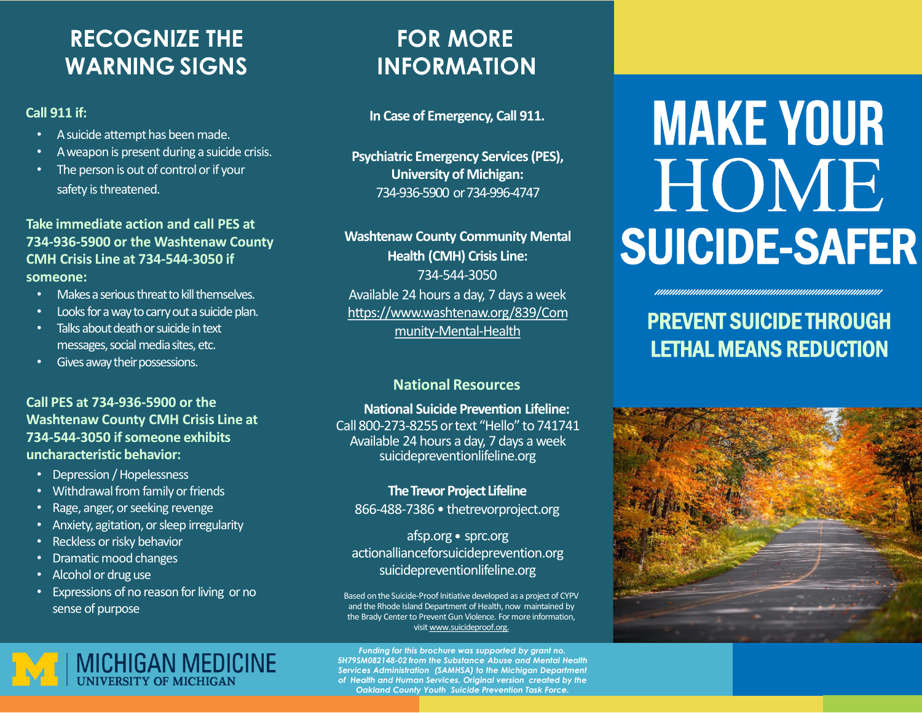## **RECOGNIZE THE WARNING SIGNS**

#### **Call 911 if:**

- A suicide attempt has been made.
- Aweapon is present during a suicide crisis.
- The person is out of control or if your safety is threatened.

#### **Take immediate action and call PES at 734-936-5900 or the Washtenaw County CMH Crisis Line at 734-544-3050 if someone:**

- Makes a serious threat to kill themselves.
- Looks for a way to carry out a suicide plan.
- Talks about death or suicide in text messages, social media sites, etc.
- Gives away their possessions.

#### **Call PES at 734-936-5900 or the Washtenaw County CMH Crisis Line at 734-544-3050 ifsomeone exhibits uncharacteristic behavior:**

- Depression / Hopelessness
- Withdrawal from family or friends
- Rage, anger, or seeking revenge
- Anxiety, agitation, or sleep irregularity
- Reckless or risky behavior
- Dramatic mood changes
- Alcohol or druguse
- Expressions of no reason for living or no sense of purpose

## **FOR MORE INFORMATION**

**In Case of Emergency, Call 911.**

**Psychiatric Emergency Services (PES), University of Michigan:** 734-936-5900 or 734-996-4747

**Washtenaw County Community Mental Health (CMH) Crisis Line:** 734-544-3050 Available 24 hours a day, 7 days a week [https://www.washtenaw.org/839/Com](https://www.washtenaw.org/839/Community-Mental-Health) munity-Mental-Health

### **National Resources**

**National Suicide Prevention Lifeline:** Call800-273-8255ortext "Hello" to 741741 Available 24 hours a day, 7 days a week suicidepreventionlifeline.org

**TheTrevor Project Lifeline** 866-488-7386 • thetrevorproject.org

afsp.org ● sprc.org actionallianceforsuicideprevention.org suicidepreventionlifeline.org

Based on the Suicide-Proof Initiative developed as a project of CYPV and the Rhode Island Department of Health, now maintained by the Brady Center to Prevent Gun Violence. For more information, visit [www.suicideproof.org.](http://www.suicideproof.org/)

*Funding for this brochure was supported by grant no. 5H79SM082148-02 from the Substance Abuse and Mental Health*  **Services Administration (SAMHSA) to the Michigan Department** *of Health and Human Services. Original version created by the Oakland County Youth Suicide Prevention Task Force.*

# **MAKE YOUR** HOME SUICIDE-SAFER

## PREVENT SUICIDE THROUGH LETHAL MEANS REDUCTION